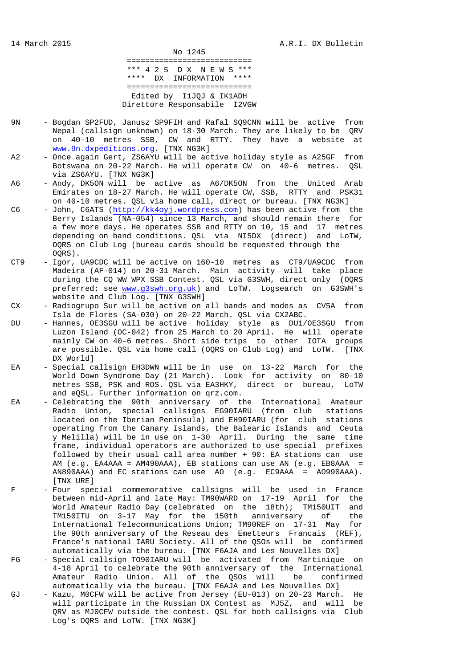No 1245 =========================== \*\*\* 4 2 5 D X N E W S \*\*\* \*\*\*\* DX INFORMATION \*\*\*\* =========================== Edited by I1JQJ & IK1ADH Direttore Responsabile I2VGW

- 9N Bogdan SP2FUD, Janusz SP9FIH and Rafal SQ9CNN will be active from Nepal (callsign unknown) on 18-30 March. They are likely to be QRV on 40-10 metres SSB, CW and RTTY. They have a website at www.9n.dxpeditions.org. [TNX NG3K]
- A2 Once again Gert, ZS6AYU will be active holiday style as A25GF from Botswana on 20-22 March. He will operate CW on 40-6 metres. QSL via ZS6AYU. [TNX NG3K]
- A6 Andy, DK5ON will be active as A6/DK5ON from the United Arab Emirates on 18-27 March. He will operate CW, SSB, RTTY and PSK31 on 40-10 metres. QSL via home call, direct or bureau. [TNX NG3K]
- C6 John, C6ATS (http://kk4oyj.wordpress.com) has been active from the Berry Islands (NA-054) since 13 March, and should remain there for a few more days. He operates SSB and RTTY on 10, 15 and 17 metres depending on band conditions. QSL via NI5DX (direct) and LoTW, OQRS on Club Log (bureau cards should be requested through the OQRS).
- CT9 Igor, UA9CDC will be active on 160-10 metres as CT9/UA9CDC from Madeira (AF-014) on 20-31 March. Main activity will take place during the CQ WW WPX SSB Contest. QSL via G3SWH, direct only (OQRS preferred: see www.g3swh.org.uk) and LoTW. Logsearch on G3SWH's website and Club Log. [TNX G3SWH]
- CX Radiogrupo Sur will be active on all bands and modes as CV5A from Isla de Flores (SA-030) on 20-22 March. QSL via CX2ABC.
- DU Hannes, OE3SGU will be active holiday style as DU1/OE3SGU from Luzon Island (OC-042) from 25 March to 20 April. He will operate mainly CW on 40-6 metres. Short side trips to other IOTA groups are possible. QSL via home call (OQRS on Club Log) and LoTW. [TNX DX World]
- EA Special callsign EH3DWN will be in use on 13-22 March for the World Down Syndrome Day (21 March). Look for activity on 80-10 metres SSB, PSK and ROS. QSL via EA3HKY, direct or bureau, LoTW and eQSL. Further information on qrz.com.
- EA Celebrating the 90th anniversary of the International Amateur Radio Union, special callsigns EG90IARU (from club stations located on the Iberian Peninsula) and EH90IARU (for club stations operating from the Canary Islands, the Balearic Islands and Ceuta y Melilla) will be in use on 1-30 April. During the same time frame, individual operators are authorized to use special prefixes followed by their usual call area number + 90: EA stations can use AM (e.g. EA4AAA = AM490AAA), EB stations can use AN (e.g. EB8AAA = AN890AAA) and EC stations can use AO (e.g. EC9AAA = AO990AAA). [TNX URE]
- F Four special commemorative callsigns will be used in France between mid-April and late May: TM90WARD on 17-19 April for the World Amateur Radio Day (celebrated on the 18th); TM150UIT and TM150ITU on 3-17 May for the 150th anniversary of the International Telecommunications Union; TM90REF on 17-31 May for the 90th anniversary of the Reseau des Emetteurs Francais (REF), France's national IARU Society. All of the QSOs will be confirmed automatically via the bureau. [TNX F6AJA and Les Nouvelles DX]
- FG Special callsign TO90IARU will be activated from Martinique on 4-18 April to celebrate the 90th anniversary of the International Amateur Radio Union. All of the QSOs will be confirmed automatically via the bureau. [TNX F6AJA and Les Nouvelles DX]
- GJ Kazu, M0CFW will be active from Jersey (EU-013) on 20-23 March. He will participate in the Russian DX Contest as MJ5Z, and will be QRV as MJ0CFW outside the contest. QSL for both callsigns via Club Log's OQRS and LoTW. [TNX NG3K]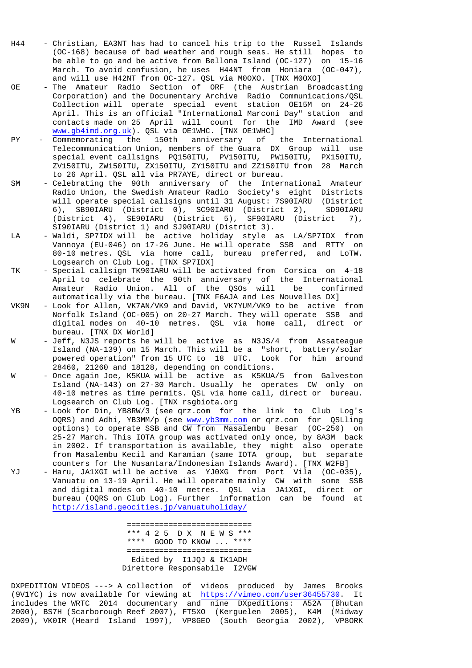- H44 Christian, EA3NT has had to cancel his trip to the Russel Islands (OC-168) because of bad weather and rough seas. He still hopes to be able to go and be active from Bellona Island (OC-127) on 15-16 March. To avoid confusion, he uses H44NT from Honiara (OC-047), and will use H42NT from OC-127. QSL via M0OXO. [TNX M0OXO]
- OE The Amateur Radio Section of ORF (the Austrian Broadcasting Corporation) and the Documentary Archive Radio Communications/QSL Collection will operate special event station OE15M on 24-26 April. This is an official "International Marconi Day" station and contacts made on 25 April will count for the IMD Award (see www.gb4imd.org.uk). QSL via OE1WHC. [TNX OE1WHC]
- PY Commemorating the 150th anniversary of the International Telecommunication Union, members of the Guara DX Group will use special event callsigns PQ150ITU, PV150ITU, PW150ITU, PX150ITU, ZV150ITU, ZW150ITU, ZX150ITU, ZY150ITU and ZZ150ITU from 28 March to 26 April. QSL all via PR7AYE, direct or bureau.
- SM Celebrating the 90th anniversary of the International Amateur Radio Union, the Swedish Amateur Radio Society's eight Districts will operate special callsigns until 31 August: 7S90IARU (District 6), SB90IARU (District 0), SC90IARU (District 2), SD90IARU (District 4), SE90IARU (District 5), SF90IARU (District 7), SI90IARU (District 1) and SJ90IARU (District 3).
- LA Waldi, SP7IDX will be active holiday style as LA/SP7IDX from Vannoya (EU-046) on 17-26 June. He will operate SSB and RTTY on 80-10 metres. QSL via home call, bureau preferred, and LoTW. Logsearch on Club Log. [TNX SP7IDX]
- TK Special callsign TK90IARU will be activated from Corsica on 4-18 April to celebrate the 90th anniversary of the International Amateur Radio Union. All of the QSOs will be confirmed automatically via the bureau. [TNX F6AJA and Les Nouvelles DX]
- VK9N Look for Allen, VK7AN/VK9 and David, VK7YUM/VK9 to be active from Norfolk Island (OC-005) on 20-27 March. They will operate SSB and digital modes on 40-10 metres. QSL via home call, direct or bureau. [TNX DX World]
- W Jeff, N3JS reports he will be active as N3JS/4 from Assateague Island (NA-139) on 15 March. This will be a "short, battery/solar powered operation" from 15 UTC to 18 UTC. Look for him around 28460, 21260 and 18128, depending on conditions.
- W Once again Joe, K5KUA will be active as K5KUA/5 from Galveston Island (NA-143) on 27-30 March. Usually he operates CW only on 40-10 metres as time permits. QSL via home call, direct or bureau. Logsearch on Club Log. [TNX rsgbiota.org
- YB Look for Din, YB8RW/3 (see qrz.com for the link to Club Log's OQRS) and Adhi, YB3MM/p (see www.yb3mm.com or qrz.com for QSLling options) to operate SSB and CW from Masalembu Besar (OC-250) on 25-27 March. This IOTA group was activated only once, by 8A3M back in 2002. If transportation is available, they might also operate from Masalembu Kecil and Karamian (same IOTA group, but separate counters for the Nusantara/Indonesian Islands Award). [TNX W2FB]
- YJ Haru, JA1XGI will be active as YJ0XG from Port Vila (OC-035), Vanuatu on 13-19 April. He will operate mainly CW with some SSB and digital modes on 40-10 metres. QSL via JA1XGI, direct or bureau (OQRS on Club Log). Further information can be found at http://island.geocities.jp/vanuatuholiday/

 =========================== \*\*\* 4 2 5 D X N E W S \*\*\* \*\*\*\* GOOD TO KNOW ... \*\*\*\* =========================== Edited by I1JQJ & IK1ADH Direttore Responsabile I2VGW

DXPEDITION VIDEOS ---> A collection of videos produced by James Brooks (9V1YC) is now available for viewing at https://vimeo.com/user36455730. It includes the WRTC 2014 documentary and nine DXpeditions: A52A (Bhutan 2000), BS7H (Scarborough Reef 2007), FT5XO (Kerguelen 2005), K4M (Midway 2009), VK0IR (Heard Island 1997), VP8GEO (South Georgia 2002), VP8ORK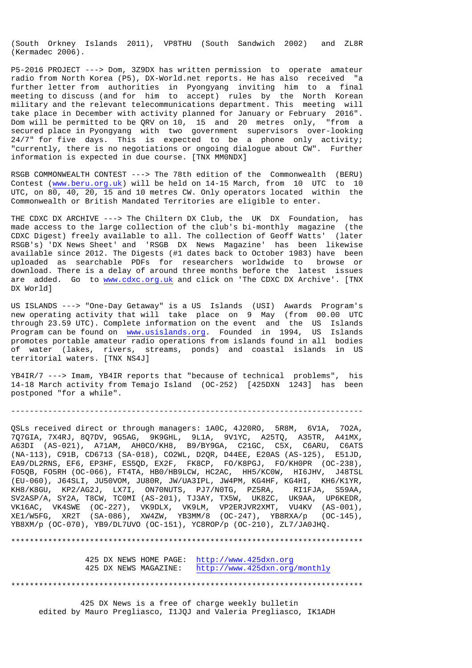(South Orkney Islands 2011), VP8THU (South Sandwich 2002) and ZL8R (Kermadec 2006).

P5-2016 PROJECT ---> Dom, 3Z9DX has written permission to operate amateur radio from North Korea (P5), DX-World.net reports. He has also received "a further letter from authorities in Pyongyang inviting him to a final meeting to discuss (and for him to accept) rules by the North Korean military and the relevant telecommunications department. This meeting will take place in December with activity planned for January or February 2016". Dom will be permitted to be QRV on 10, 15 and 20 metres only, "from a secured place in Pyongyang with two government supervisors over-looking 24/7" for five days. This is expected to be a phone only activity; "currently, there is no negotiations or ongoing dialogue about CW". Further information is expected in due course. [TNX MM0NDX]

RSGB COMMONWEALTH CONTEST ---> The 78th edition of the Commonwealth (BERU) Contest (www.beru.org.uk) will be held on 14-15 March, from 10 UTC to 10 UTC, on 80, 40, 20, 15 and 10 metres CW. Only operators located within the Commonwealth or British Mandated Territories are eligible to enter.

THE CDXC DX ARCHIVE ---> The Chiltern DX Club, the UK DX Foundation, has made access to the large collection of the club's bi-monthly magazine (the CDXC Digest) freely available to all. The collection of Geoff Watts' (later RSGB's) 'DX News Sheet' and 'RSGB DX News Magazine' has been likewise available since 2012. The Digests (#1 dates back to October 1983) have been uploaded as searchable PDFs for researchers worldwide to browse or download. There is a delay of around three months before the latest issues are added. Go to www.cdxc.org.uk and click on 'The CDXC DX Archive'. [TNX DX World]

US ISLANDS ---> "One-Day Getaway" is a US Islands (USI) Awards Program's new operating activity that will take place on 9 May (from 00.00 UTC through 23.59 UTC). Complete information on the event and the US Islands Program can be found on www.usislands.org. Founded in 1994, US Islands promotes portable amateur radio operations from islands found in all bodies of water (lakes, rivers, streams, ponds) and coastal islands in US territorial waters. [TNX NS4J]

YB4IR/7 ---> Imam, YB4IR reports that "because of technical problems", his 14-18 March activity from Temajo Island (OC-252) [425DXN 1243] has been postponed "for a while".

----------------------------------------------------------------------------

QSLs received direct or through managers: 1A0C, 4J20RO, 5R8M, 6V1A, 7O2A, 7Q7GIA, 7X4RJ, 8Q7DV, 9G5AG, 9K9GHL, 9L1A, 9V1YC, A25TQ, A35TR, A41MX, A63DI (AS-021), A71AM, AH0CO/KH8, B9/BY9GA, C21GC, C5X, C6ARU, C6ATS (NA-113), C91B, CD6713 (SA-018), CO2WL, D2QR, D44EE, E20AS (AS-125), E51JD, EA9/DL2RNS, EF6, EP3HF, ES5QD, EX2F, FK8CP, FO/K8PGJ, FO/KH0PR (OC-238), FO5QB, FO5RH (OC-066), FT4TA, HB0/HB9LCW, HC2AC, HH5/KC0W, HI6JHV, J48TSL (EU-060), J64SLI, JU50VOM, JU80R, JW/UA3IPL, JW4PM, KG4HF, KG4HI, KH6/K1YR, KH8/K8GU, KP2/AG2J, LX7I, ON70NUTS, PJ7/N0TG, PZ5RA, RI1FJA, S59AA, SV2ASP/A, SY2A, T8CW, TC0MI (AS-201), TJ3AY, TX5W, UK8ZC, UK9AA, UP6KEDR, VK16AC, VK4SWE (OC-227), VK9DLX, VK9LM, VP2ERJVR2XMT, VU4KV (AS-001), XE1/W5FG, XR2T (SA-086), XW4ZW, YB3MM/8 (OC-247), YB8RXA/p (OC-145), YB8XM/p (OC-070), YB9/DL7UVO (OC-151), YC8ROP/p (OC-210), ZL7/JA0JHQ.

\*\*\*\*\*\*\*\*\*\*\*\*\*\*\*\*\*\*\*\*\*\*\*\*\*\*\*\*\*\*\*\*\*\*\*\*\*\*\*\*\*\*\*\*\*\*\*\*\*\*\*\*\*\*\*\*\*\*\*\*\*\*\*\*\*\*\*\*\*\*\*\*\*\*\*\*

 425 DX NEWS HOME PAGE: http://www.425dxn.org 425 DX NEWS MAGAZINE: http://www.425dxn.org/monthly

\*\*\*\*\*\*\*\*\*\*\*\*\*\*\*\*\*\*\*\*\*\*\*\*\*\*\*\*\*\*\*\*\*\*\*\*\*\*\*\*\*\*\*\*\*\*\*\*\*\*\*\*\*\*\*\*\*\*\*\*\*\*\*\*\*\*\*\*\*\*\*\*\*\*\*\*

 425 DX News is a free of charge weekly bulletin edited by Mauro Pregliasco, I1JQJ and Valeria Pregliasco, IK1ADH